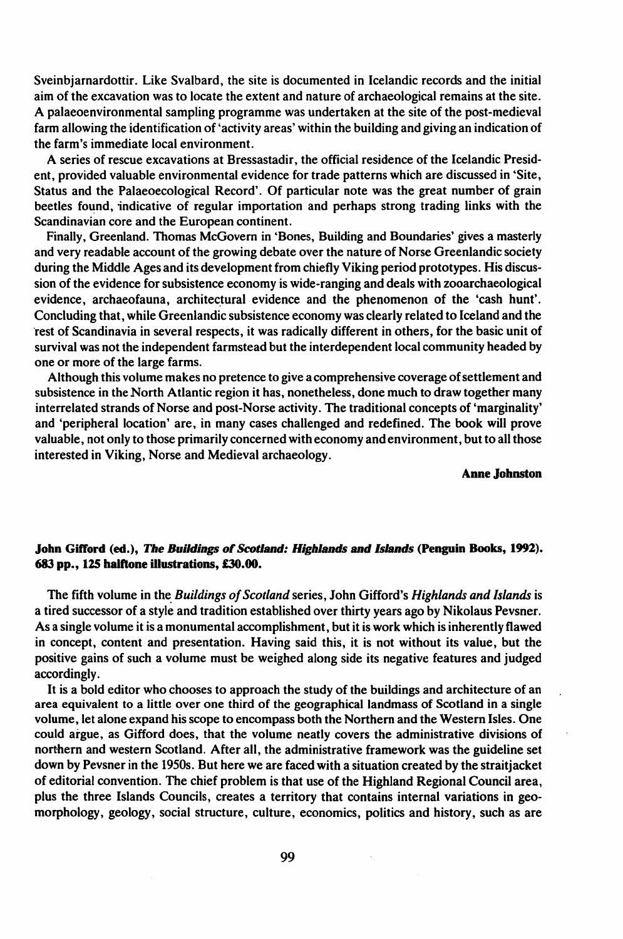Sveinbjarnardottir. Like Svalbard, the site is documented in Icelandic records and the initial aim of the excavation was to locate the extent and nature of archaeological remains at the site. A palaeoenvironmental sampling programme was undertaken at the site of the post-medieval farm allowing the identification of'activity areas' within the building and giving an indication of the farm's immediate local environment.

A series of rescue excavations at Bressastadir, the official residence of the Icelandic President, provided valuable environmental evidence for trade patterns which are discussed in 'Site, Status and the Palaeoecological Record'. Of particular note was the great number of grain beetles found, indicative of regular importation and perhaps strong trading links with the Scandinavian core and the European continent.

Finally, Greenland. Thomas McGovem in 'Bones, Building and Boundaries' gives a masterly and very readable account of the growing debate over the nature of Norse Greenlandic society during the Middle Ages and its development from chiefly Viking period prototypes. His discussion of the evidence for subsistence economy is wide-ranging and deals with zooarchaeological evidence, archaeofauna, architectural evidence and the phenomenon of the 'cash hunt'. Concluding that, while Greenlandic subsistence economy was clearly related to Iceland and the rest of Scandinavia in several respects, it was radically different in others, for the basic unit of survival was not the independent farmstead but the interdependent local community headed by one or more of the large farms.

Although this volume makes no pretence to give a comprehensive coverage ofsettlement and subsistence in the North Atlantic region it has, nonetheless, done much to draw together many interrelated strands of Norse and post-Norse activity. The traditional concepts of 'marginality' and 'peripheral location' are, in many cases challenged and redefined. The book will prove valuable, not only to those primarily concerned with economy and environment, but to all those interested in Viking, Norse and Medieval archaeology.

Anne Johnston

## John Gifford (ed.), *The Buildings of Scotland: Highlands and <i>Islands* (Penguin Books, 1992). 683 pp., 125 halftone illustrations, £30.00.

The fifth volume in the *Buildings of Scotland* series, John Gifford's *Highlands and Islands* is a tired successor of a style and tradition established over thirty years ago by Nikolaus Pevsner. As a single volume it is a monumental accomplishment, but it is work which is inherently flawed in concept, content and presentation. Having said this, it is not without its value, but the positive gains of such a volume must be weighed along side its negative features and judged accordingly.

It is a bold editor who chooses to approach the study of the buildings and architecture of an area equivalent to a little over one third of the geographical landmass of Scotland in a single volume, let alone expand his scope to encompass both the Northern and the Western Isles. One could argue, as Gifford does, that the volume neatly covers the administrative divisions of northern and western Scotland. After all, the administrative framework was the guideline set down by Pevsner in the 1950s. But here we are faced with a situation created by the straitjacket of editorial convention. The chief problem is that use of the Highland Regional Council area, plus the three Islands Councils, creates a territory that contains internal variations in geomorphology, geology, social structure, culture, economics, politics and history, such as are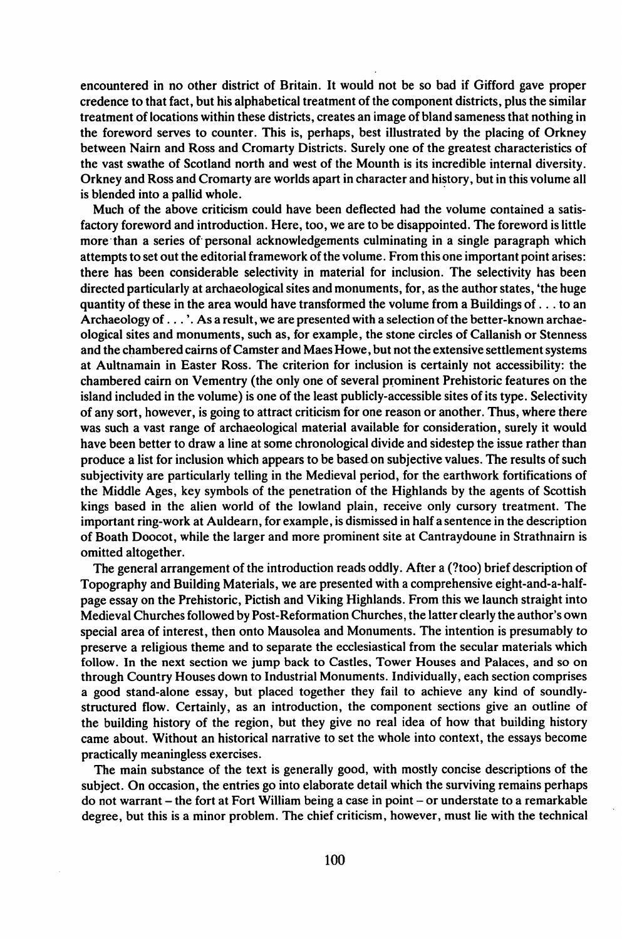encountered in no other district of Britain. It would not be so bad if Gifford gave proper credence to that fact, but his alphabetical treatment of the component districts, plus the similar treatment oflocations within these districts, creates an image of bland sameness that nothing in the foreword serves to counter. This is, perhaps, best illustrated by the placing of Orkney between Nairn and Ross and Cromarty Districts. Surely one of the greatest characteristics of the vast swathe of Scotland north and west of the Mounth is its incredible internal diversity. Orkney and Ross and Cromarty are worlds apart in character and history, but in this volume all is blended into a pallid whole. .

Much of the above criticism could have been deflected had the volume contained a satisfactory foreword and introduction. Here, too, we are to be disappointed. The foreword is little more' than a series of personal acknowledgements culminating in a single paragraph which attempts to set out the editorial framework of the volume. From this one important point arises: there has been considerable selectivity in material for inclusion. The selectivity has been directed particularly at archaeological sites and monuments, for, as the author states, 'the huge quantity of these in the area would have transformed the volume from a Buildings of  $\dots$  to an Archaeology of  $\dots$ . As a result, we are presented with a selection of the better-known archaeological sites and monuments, such as, for example, the stone circles of Callanish or Stenness and the chambered cairns of Camster and Maes Howe, but not the extensive settlement systems at Aultnamain in Easter Ross. The criterion for inclusion is certainly not accessibility: the chambered cairn on Vementry (the only one of several prominent Prehistoric features on the island included in the volume) is one of the least publicly-accessible sites ofits type. Selectivity of any sort, however, is going to attract criticism for one reason or another. Thus, where there was such a vast range of archaeological material available for consideration, surely it would have been better to draw a line at some chronological divide and sidestep the issue rather than produce a list for inclusion which appears to be based on subjective values. The results of such subjectivity are particularly telling in the Medieval period, for the earthwork fortifications of the Middle Ages, key symbols of the penetration of the Highlands by the agents of Scottish kings based in the alien world of the lowland plain, receive only cursory treatment. The important ring-work at Auldearn, for example, is dismissed in half a sentence in the description of Boath Doocot, while the larger and more prominent site at Cantraydoune in Strathnairn is omitted altogether.

The general arrangement of the introduction reads oddly. After a (?too) brief description of Topography and Building Materials, we are presented with a comprehensive eight-and-a-halfpage essay on the Prehistoric, Pictish and Viking Highlands. From this we launch straight into Medieval Churchesfollowed by Post-Reformation Churches, the latter clearly the author's own special area of interest, then onto Mausolea and Monuments. The intention is presumably to preserve a religious theme and to separate the ecclesiastical from the secular materials which follow. In the next section we jump back to Castles, Tower Houses and Palaces, and so on through Country Houses down to Industrial Monuments. Individually, each section comprises a good stand-alone essay, but placed together they fail to achieve any kind of soundlystructured flow. Certainly, as an introduction, the component sections give an outline of the building history of the region, but they give no real idea of how that building history came about. Without an historical narrative to set the whole into context, the essays become practically meaningless exercises.

The main substance of the text is generally good, with mostly concise descriptions of the subject. On occasion, the entries go into elaborate detail which the surviving remains perhaps do not warrant - the fort at Fort William being a case in point - or understate to a remarkable degree, but this is a minor problem. The chief criticism, however, must lie with the technical